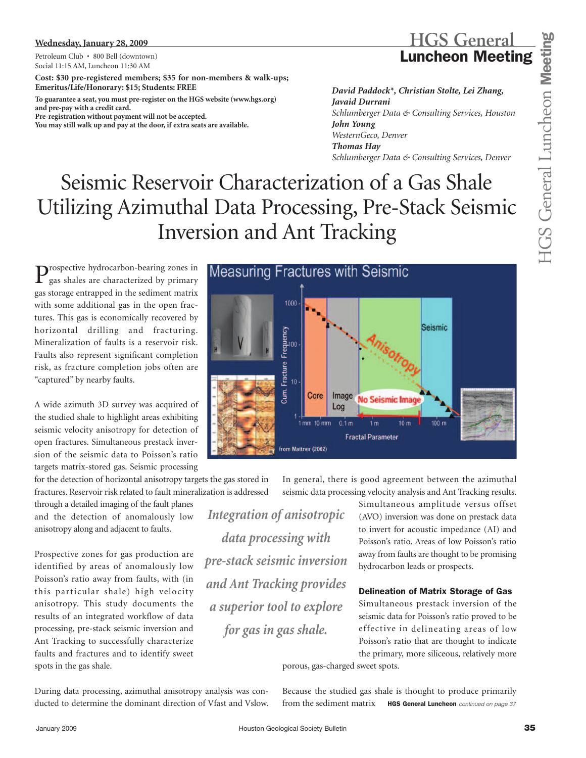## **Wednesday, January 28, 2009**

Petroleum Club • 800 Bell (downtown) Social 11:15 AM, Luncheon 11:30 AM

**Cost: \$30 pre-registered members; \$35 for non-members & walk-ups; Emeritus/Life/Honorary: \$15; Students: FREE**

**To guarantee a seat, you must pre-register on the HGS website (www.hgs.org) and pre-pay with a credit card.** 

**Pre-registration without payment will not be accepted. You may still walk up and pay at the door, if extra seats are available.**

## **HGS General Luncheon Meeting**

*David Paddock\*, Christian Stolte, Lei Zhang, Javaid Durrani Schlumberger Data & Consulting Services, Houston John Young WesternGeco, Denver Thomas Hay Schlumberger Data & Consulting Services, Denver*

# Seismic Reservoir Characterization of a Gas Shale Utilizing Azimuthal Data Processing, Pre-Stack Seismic Inversion and Ant Tracking

Prospective hydrocarbon-bearing zones in gas shales are characterized by primary gas storage entrapped in the sediment matrix with some additional gas in the open fractures. This gas is economically recovered by horizontal drilling and fracturing. Mineralization of faults is a reservoir risk. Faults also represent significant completion risk, as fracture completion jobs often are "captured" by nearby faults.

A wide azimuth 3D survey was acquired of the studied shale to highlight areas exhibiting seismic velocity anisotropy for detection of open fractures. Simultaneous prestack inversion of the seismic data to Poisson's ratio targets matrix-stored gas. Seismic processing

for the detection of horizontal anisotropy targets the gas stored in fractures. Reservoir risk related to fault mineralization is addressed

through a detailed imaging of the fault planes and the detection of anomalously low anisotropy along and adjacent to faults.

Prospective zones for gas production are identified by areas of anomalously low Poisson's ratio away from faults, with (in this particular shale) high velocity anisotropy. This study documents the results of an integrated workflow of data processing, pre-stack seismic inversion and Ant Tracking to successfully characterize faults and fractures and to identify sweet spots in the gas shale.



In general, there is good agreement between the azimuthal seismic data processing velocity analysis and Ant Tracking results.

*Integration of anisotropic data processing with pre-stack seismic inversion and Ant Tracking provides a superior tool to explore for gas in gas shale.*

Simultaneous amplitude versus offset (AVO) inversion was done on prestack data to invert for acoustic impedance (AI) and Poisson's ratio. Areas of low Poisson's ratio away from faults are thought to be promising hydrocarbon leads or prospects.

## **Delineation of Matrix Storage of Gas**

Simultaneous prestack inversion of the seismic data for Poisson's ratio proved to be effective in delineating areas of low Poisson's ratio that are thought to indicate the primary, more siliceous, relatively more

porous, gas-charged sweet spots.

During data processing, azimuthal anisotropy analysis was conducted to determine the dominant direction of Vfast and Vslow. Because the studied gas shale is thought to produce primarily from the sediment matrix **HGS General Luncheon** *continued on page 37*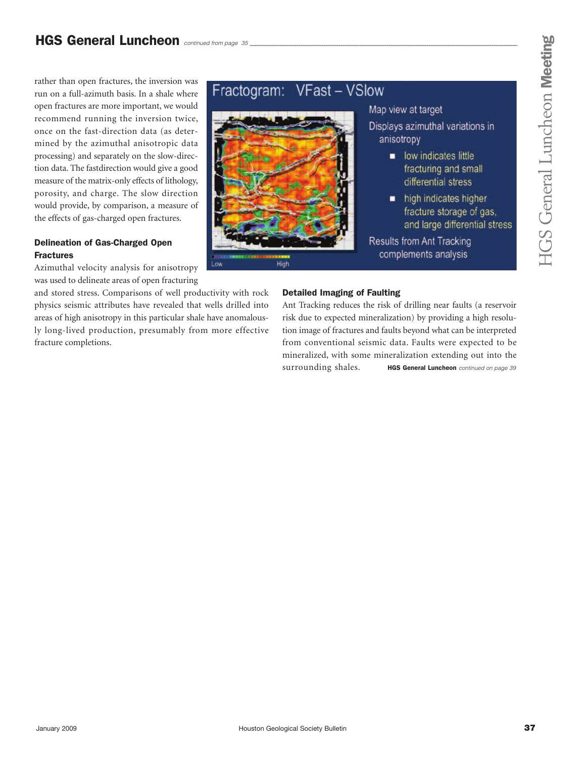rather than open fractures, the inversion was run on a full-azimuth basis. In a shale where open fractures are more important, we would recommend running the inversion twice, once on the fast-direction data (as determined by the azimuthal anisotropic data processing) and separately on the slow-direction data. The fastdirection would give a good measure of the matrix-only effects of lithology, porosity, and charge. The slow direction would provide, by comparison, a measure of the effects of gas-charged open fractures.

## **Delineation of Gas-Charged Open Fractures**

Azimuthal velocity analysis for anisotropy was used to delineate areas of open fracturing

and stored stress. Comparisons of well productivity with rock physics seismic attributes have revealed that wells drilled into areas of high anisotropy in this particular shale have anomalously long-lived production, presumably from more effective fracture completions.

#### **VFast - VSlow** Fractogram:



## Map view at target

- Displays azimuthal variations in anisotropy
	- low indicates little fracturing and small differential stress
	- high indicates higher fracture storage of gas, and large differential stress
- **Results from Ant Tracking** complements analysis

## **Detailed Imaging of Faulting**

Ant Tracking reduces the risk of drilling near faults (a reservoir risk due to expected mineralization) by providing a high resolution image of fractures and faults beyond what can be interpreted from conventional seismic data. Faults were expected to be mineralized, with some mineralization extending out into the surrounding shales. **HGS General Luncheon** *continued on page 39*